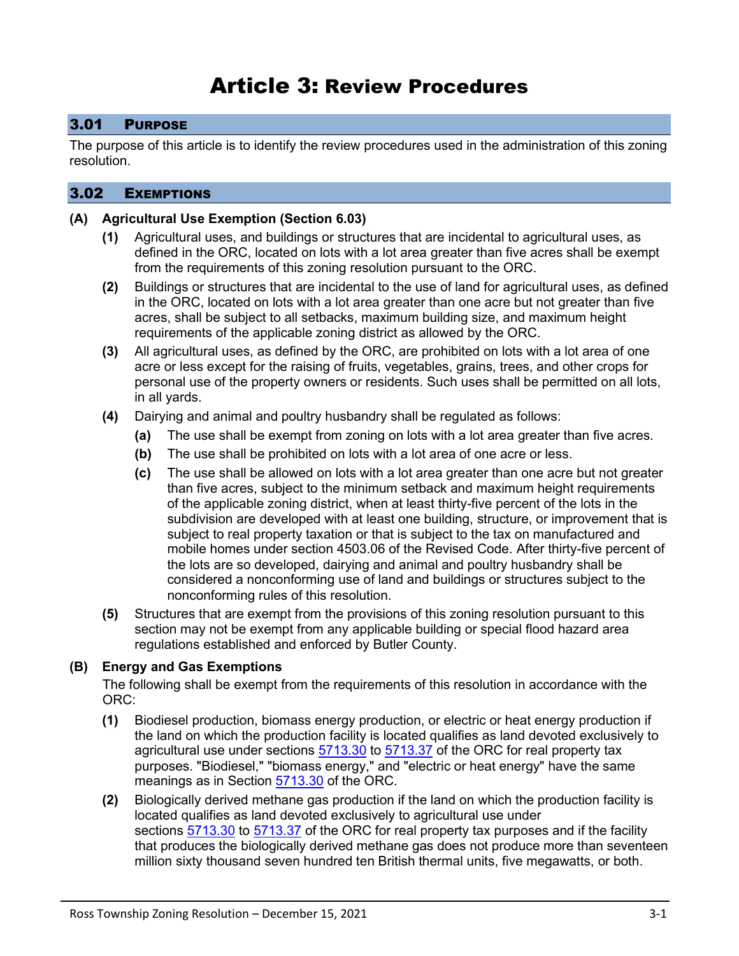# Article 3: Review Procedures

## 3.01 PURPOSE

The purpose of this article is to identify the review procedures used in the administration of this zoning resolution.

## 3.02 EXEMPTIONS

#### **(A) Agricultural Use Exemption (Section 6.03)**

- **(1)** Agricultural uses, and buildings or structures that are incidental to agricultural uses, as defined in the ORC, located on lots with a lot area greater than five acres shall be exempt from the requirements of this zoning resolution pursuant to the ORC.
- **(2)** Buildings or structures that are incidental to the use of land for agricultural uses, as defined in the ORC, located on lots with a lot area greater than one acre but not greater than five acres, shall be subject to all setbacks, maximum building size, and maximum height requirements of the applicable zoning district as allowed by the ORC.
- **(3)** All agricultural uses, as defined by the ORC, are prohibited on lots with a lot area of one acre or less except for the raising of fruits, vegetables, grains, trees, and other crops for personal use of the property owners or residents. Such uses shall be permitted on all lots, in all yards.
- **(4)** Dairying and animal and poultry husbandry shall be regulated as follows:
	- **(a)** The use shall be exempt from zoning on lots with a lot area greater than five acres.
	- **(b)** The use shall be prohibited on lots with a lot area of one acre or less.
	- **(c)** The use shall be allowed on lots with a lot area greater than one acre but not greater than five acres, subject to the minimum setback and maximum height requirements of the applicable zoning district, when at least thirty-five percent of the lots in the subdivision are developed with at least one building, structure, or improvement that is subject to real property taxation or that is subject to the tax on manufactured and mobile homes under section [4503.06](http://codes.ohio.gov/orc/4503.06) of the Revised Code. After thirty-five percent of the lots are so developed, dairying and animal and poultry husbandry shall be considered a nonconforming use of land and buildings or structures subject to the nonconforming rules of this resolution.
- **(5)** Structures that are exempt from the provisions of this zoning resolution pursuant to this section may not be exempt from any applicable building or special flood hazard area regulations established and enforced by Butler County.

#### **(B) Energy and Gas Exemptions**

The following shall be exempt from the requirements of this resolution in accordance with the ORC:

- **(1)** Biodiesel production, biomass energy production, or electric or heat energy production if the land on which the production facility is located qualifies as land devoted exclusively to agricultural use under sections  $\frac{5713.30}{2}$  $\frac{5713.30}{2}$  $\frac{5713.30}{2}$  to  $\frac{5713.37}{2}$  $\frac{5713.37}{2}$  $\frac{5713.37}{2}$  of the ORC for real property tax purposes. "Biodiesel," "biomass energy," and "electric or heat energy" have the same meanings as in Section [5713.30](http://codes.ohio.gov/orc/5713.30) of the ORC.
- **(2)** Biologically derived methane gas production if the land on which the production facility is located qualifies as land devoted exclusively to agricultural use under sections [5713.30](http://codes.ohio.gov/orc/5713.30) to [5713.37](http://codes.ohio.gov/orc/5713.37) of the ORC for real property tax purposes and if the facility that produces the biologically derived methane gas does not produce more than seventeen million sixty thousand seven hundred ten British thermal units, five megawatts, or both.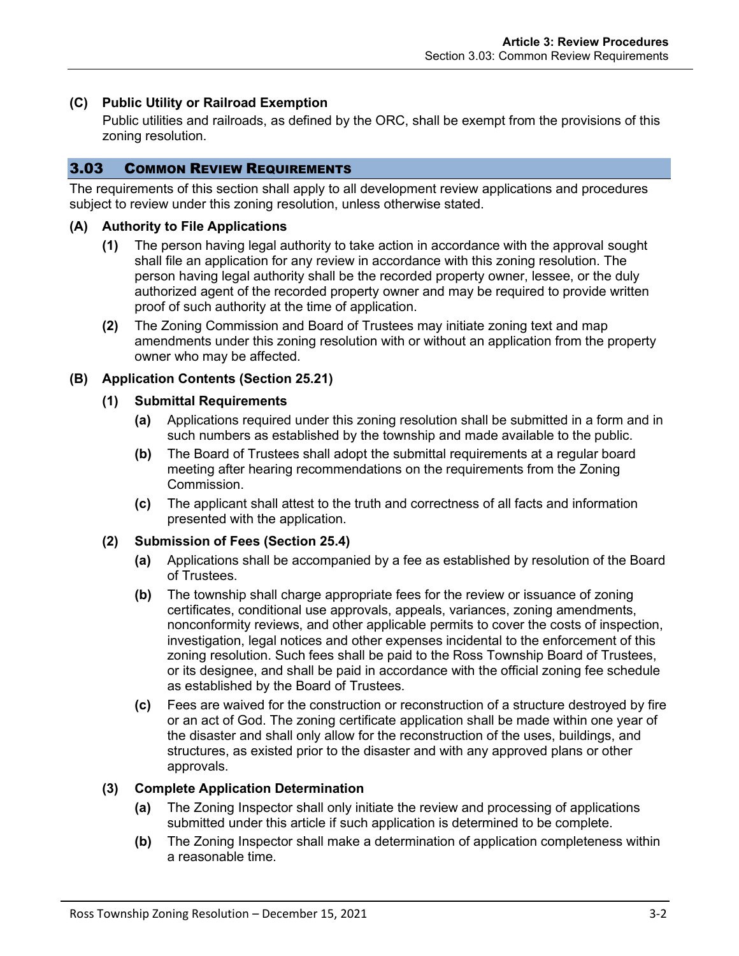## **(C) Public Utility or Railroad Exemption**

Public utilities and railroads, as defined by the ORC, shall be exempt from the provisions of this zoning resolution.

# 3.03 COMMON REVIEW REQUIREMENTS

The requirements of this section shall apply to all development review applications and procedures subject to review under this zoning resolution, unless otherwise stated.

#### **(A) Authority to File Applications**

- **(1)** The person having legal authority to take action in accordance with the approval sought shall file an application for any review in accordance with this zoning resolution. The person having legal authority shall be the recorded property owner, lessee, or the duly authorized agent of the recorded property owner and may be required to provide written proof of such authority at the time of application.
- **(2)** The Zoning Commission and Board of Trustees may initiate zoning text and map amendments under this zoning resolution with or without an application from the property owner who may be affected.

## <span id="page-1-0"></span>**(B) Application Contents (Section 25.21)**

#### **(1) Submittal Requirements**

- **(a)** Applications required under this zoning resolution shall be submitted in a form and in such numbers as established by the township and made available to the public.
- **(b)** The Board of Trustees shall adopt the submittal requirements at a regular board meeting after hearing recommendations on the requirements from the Zoning Commission.
- **(c)** The applicant shall attest to the truth and correctness of all facts and information presented with the application.

#### **(2) Submission of Fees (Section 25.4)**

- **(a)** Applications shall be accompanied by a fee as established by resolution of the Board of Trustees.
- **(b)** The township shall charge appropriate fees for the review or issuance of zoning certificates, conditional use approvals, appeals, variances, zoning amendments, nonconformity reviews, and other applicable permits to cover the costs of inspection, investigation, legal notices and other expenses incidental to the enforcement of this zoning resolution. Such fees shall be paid to the Ross Township Board of Trustees, or its designee, and shall be paid in accordance with the official zoning fee schedule as established by the Board of Trustees.
- **(c)** Fees are waived for the construction or reconstruction of a structure destroyed by fire or an act of God. The zoning certificate application shall be made within one year of the disaster and shall only allow for the reconstruction of the uses, buildings, and structures, as existed prior to the disaster and with any approved plans or other approvals.

#### **(3) Complete Application Determination**

- **(a)** The Zoning Inspector shall only initiate the review and processing of applications submitted under this article if such application is determined to be complete.
- **(b)** The Zoning Inspector shall make a determination of application completeness within a reasonable time.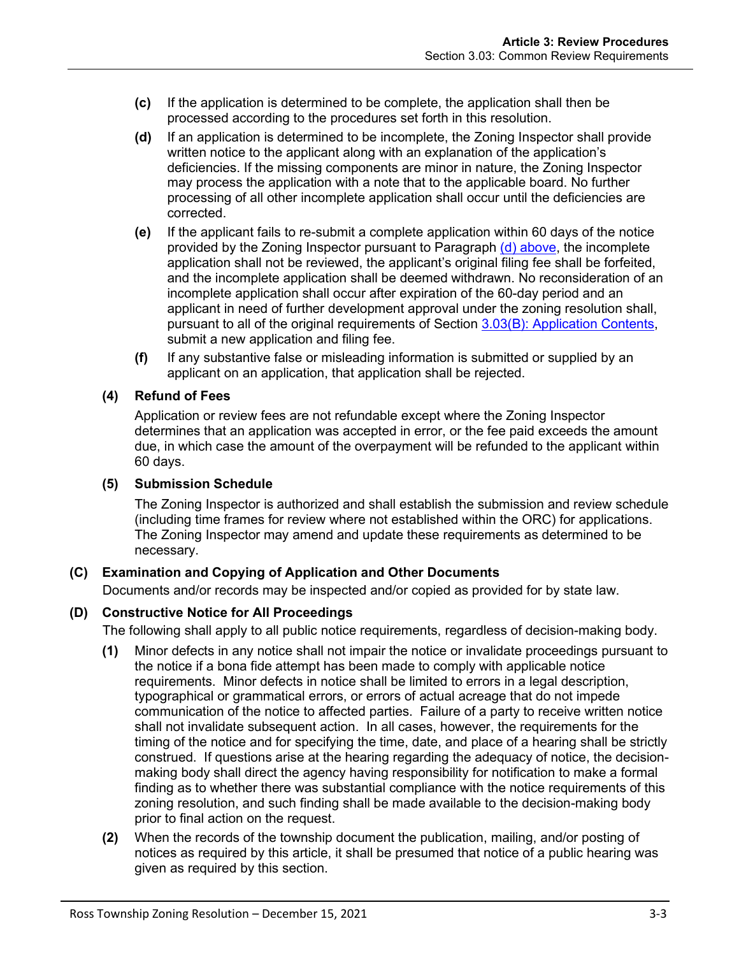- **(c)** If the application is determined to be complete, the application shall then be processed according to the procedures set forth in this resolution.
- <span id="page-2-0"></span>**(d)** If an application is determined to be incomplete, the Zoning Inspector shall provide written notice to the applicant along with an explanation of the application's deficiencies. If the missing components are minor in nature, the Zoning Inspector may process the application with a note that to the applicable board. No further processing of all other incomplete application shall occur until the deficiencies are corrected.
- **(e)** If the applicant fails to re-submit a complete application within 60 days of the notice provided by the Zoning Inspector pursuant to Paragraph [\(d\) above,](#page-2-0) the incomplete application shall not be reviewed, the applicant's original filing fee shall be forfeited, and the incomplete application shall be deemed withdrawn. No reconsideration of an incomplete application shall occur after expiration of the 60-day period and an applicant in need of further development approval under the zoning resolution shall, pursuant to all of the original requirements of Section [3.03\(B\): Application Contents,](#page-1-0) submit a new application and filing fee.
- **(f)** If any substantive false or misleading information is submitted or supplied by an applicant on an application, that application shall be rejected.

## **(4) Refund of Fees**

Application or review fees are not refundable except where the Zoning Inspector determines that an application was accepted in error, or the fee paid exceeds the amount due, in which case the amount of the overpayment will be refunded to the applicant within 60 days.

#### **(5) Submission Schedule**

The Zoning Inspector is authorized and shall establish the submission and review schedule (including time frames for review where not established within the ORC) for applications. The Zoning Inspector may amend and update these requirements as determined to be necessary.

# **(C) Examination and Copying of Application and Other Documents**

Documents and/or records may be inspected and/or copied as provided for by state law.

#### **(D) Constructive Notice for All Proceedings**

The following shall apply to all public notice requirements, regardless of decision-making body.

- **(1)** Minor defects in any notice shall not impair the notice or invalidate proceedings pursuant to the notice if a bona fide attempt has been made to comply with applicable notice requirements. Minor defects in notice shall be limited to errors in a legal description, typographical or grammatical errors, or errors of actual acreage that do not impede communication of the notice to affected parties. Failure of a party to receive written notice shall not invalidate subsequent action. In all cases, however, the requirements for the timing of the notice and for specifying the time, date, and place of a hearing shall be strictly construed. If questions arise at the hearing regarding the adequacy of notice, the decisionmaking body shall direct the agency having responsibility for notification to make a formal finding as to whether there was substantial compliance with the notice requirements of this zoning resolution, and such finding shall be made available to the decision-making body prior to final action on the request.
- **(2)** When the records of the township document the publication, mailing, and/or posting of notices as required by this article, it shall be presumed that notice of a public hearing was given as required by this section.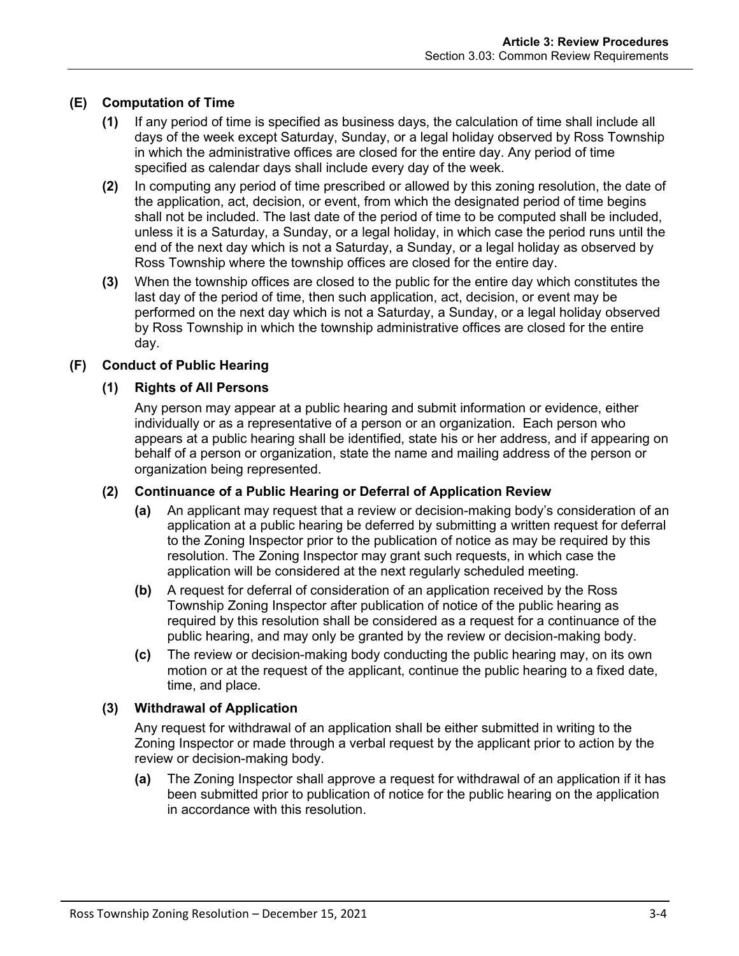# **(E) Computation of Time**

- **(1)** If any period of time is specified as business days, the calculation of time shall include all days of the week except Saturday, Sunday, or a legal holiday observed by Ross Township in which the administrative offices are closed for the entire day. Any period of time specified as calendar days shall include every day of the week.
- **(2)** In computing any period of time prescribed or allowed by this zoning resolution, the date of the application, act, decision, or event, from which the designated period of time begins shall not be included. The last date of the period of time to be computed shall be included, unless it is a Saturday, a Sunday, or a legal holiday, in which case the period runs until the end of the next day which is not a Saturday, a Sunday, or a legal holiday as observed by Ross Township where the township offices are closed for the entire day.
- **(3)** When the township offices are closed to the public for the entire day which constitutes the last day of the period of time, then such application, act, decision, or event may be performed on the next day which is not a Saturday, a Sunday, or a legal holiday observed by Ross Township in which the township administrative offices are closed for the entire day.

## **(F) Conduct of Public Hearing**

#### **(1) Rights of All Persons**

Any person may appear at a public hearing and submit information or evidence, either individually or as a representative of a person or an organization. Each person who appears at a public hearing shall be identified, state his or her address, and if appearing on behalf of a person or organization, state the name and mailing address of the person or organization being represented.

#### **(2) Continuance of a Public Hearing or Deferral of Application Review**

- **(a)** An applicant may request that a review or decision-making body's consideration of an application at a public hearing be deferred by submitting a written request for deferral to the Zoning Inspector prior to the publication of notice as may be required by this resolution. The Zoning Inspector may grant such requests, in which case the application will be considered at the next regularly scheduled meeting.
- **(b)** A request for deferral of consideration of an application received by the Ross Township Zoning Inspector after publication of notice of the public hearing as required by this resolution shall be considered as a request for a continuance of the public hearing, and may only be granted by the review or decision-making body.
- **(c)** The review or decision-making body conducting the public hearing may, on its own motion or at the request of the applicant, continue the public hearing to a fixed date, time, and place.

#### **(3) Withdrawal of Application**

Any request for withdrawal of an application shall be either submitted in writing to the Zoning Inspector or made through a verbal request by the applicant prior to action by the review or decision-making body.

**(a)** The Zoning Inspector shall approve a request for withdrawal of an application if it has been submitted prior to publication of notice for the public hearing on the application in accordance with this resolution.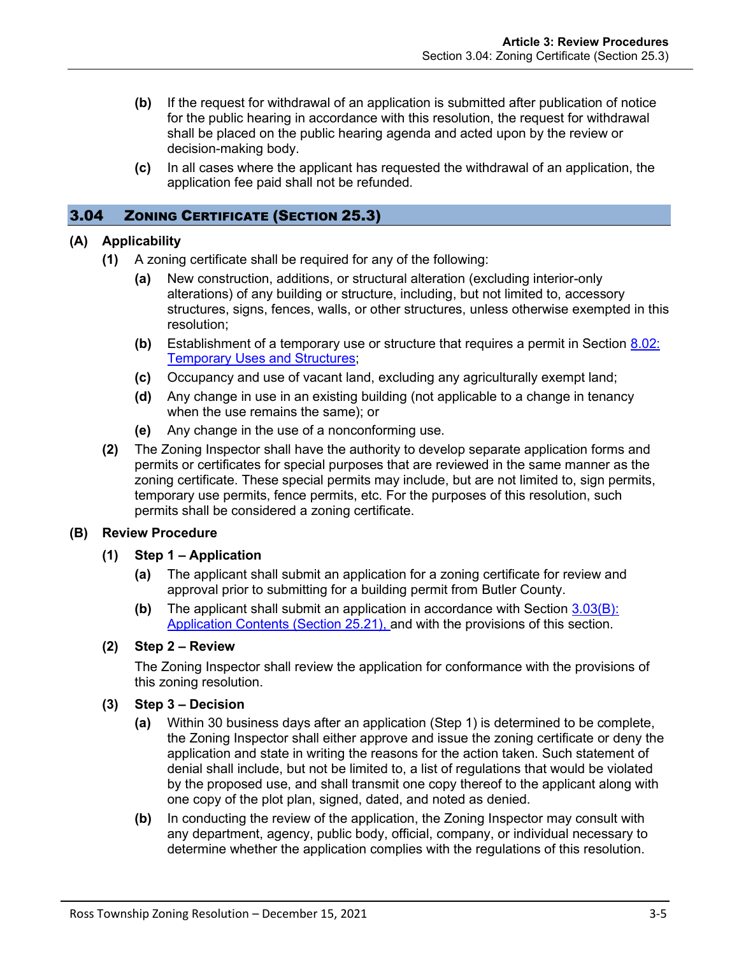- **(b)** If the request for withdrawal of an application is submitted after publication of notice for the public hearing in accordance with this resolution, the request for withdrawal shall be placed on the public hearing agenda and acted upon by the review or decision-making body.
- **(c)** In all cases where the applicant has requested the withdrawal of an application, the application fee paid shall not be refunded.

## 3.04 ZONING CERTIFICATE (SECTION 25.3)

#### **(A) Applicability**

- **(1)** A zoning certificate shall be required for any of the following:
	- **(a)** New construction, additions, or structural alteration (excluding interior-only alterations) of any building or structure, including, but not limited to, accessory structures, signs, fences, walls, or other structures, unless otherwise exempted in this resolution;
	- **(b)** Establishment of a temporary use or structure that requires a permit in Section 8.02: Temporary Uses and Structures;
	- **(c)** Occupancy and use of vacant land, excluding any agriculturally exempt land;
	- **(d)** Any change in use in an existing building (not applicable to a change in tenancy when the use remains the same); or
	- **(e)** Any change in the use of a nonconforming use.
- **(2)** The Zoning Inspector shall have the authority to develop separate application forms and permits or certificates for special purposes that are reviewed in the same manner as the zoning certificate. These special permits may include, but are not limited to, sign permits, temporary use permits, fence permits, etc. For the purposes of this resolution, such permits shall be considered a zoning certificate.

#### **(B) Review Procedure**

#### **(1) Step 1 – Application**

- **(a)** The applicant shall submit an application for a zoning certificate for review and approval prior to submitting for a building permit from Butler County.
- **(b)** The applicant shall submit an application in accordance with Section [3.03\(B\):](#page-1-0) [Application Contents](#page-1-0) (Section 25.21), and with the provisions of this section.

#### **(2) Step 2 – Review**

The Zoning Inspector shall review the application for conformance with the provisions of this zoning resolution.

- **(3) Step 3 – Decision**
	- **(a)** Within 30 business days after an application (Step 1) is determined to be complete, the Zoning Inspector shall either approve and issue the zoning certificate or deny the application and state in writing the reasons for the action taken. Such statement of denial shall include, but not be limited to, a list of regulations that would be violated by the proposed use, and shall transmit one copy thereof to the applicant along with one copy of the plot plan, signed, dated, and noted as denied.
	- **(b)** In conducting the review of the application, the Zoning Inspector may consult with any department, agency, public body, official, company, or individual necessary to determine whether the application complies with the regulations of this resolution.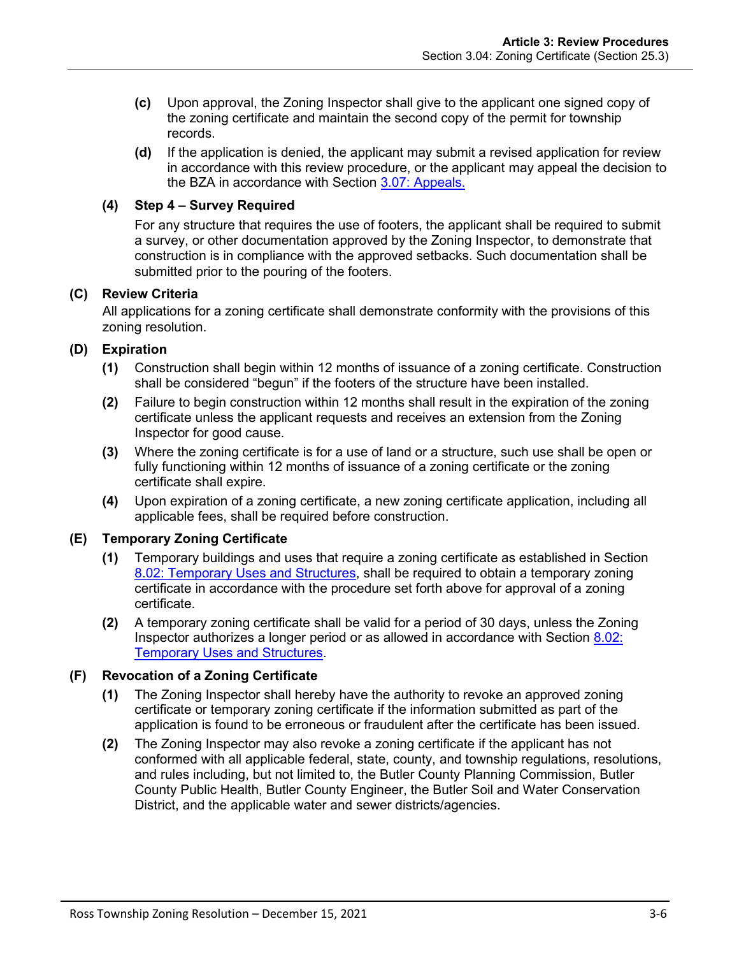- **(c)** Upon approval, the Zoning Inspector shall give to the applicant one signed copy of the zoning certificate and maintain the second copy of the permit for township records.
- **(d)** If the application is denied, the applicant may submit a revised application for review in accordance with this review procedure, or the applicant may appeal the decision to the BZA in accordance with Section [3.07: Appeals.](#page-12-0)

## **(4) Step 4 – Survey Required**

For any structure that requires the use of footers, the applicant shall be required to submit a survey, or other documentation approved by the Zoning Inspector, to demonstrate that construction is in compliance with the approved setbacks. Such documentation shall be submitted prior to the pouring of the footers.

## **(C) Review Criteria**

All applications for a zoning certificate shall demonstrate conformity with the provisions of this zoning resolution.

# **(D) Expiration**

- **(1)** Construction shall begin within 12 months of issuance of a zoning certificate. Construction shall be considered "begun" if the footers of the structure have been installed.
- **(2)** Failure to begin construction within 12 months shall result in the expiration of the zoning certificate unless the applicant requests and receives an extension from the Zoning Inspector for good cause.
- **(3)** Where the zoning certificate is for a use of land or a structure, such use shall be open or fully functioning within 12 months of issuance of a zoning certificate or the zoning certificate shall expire.
- **(4)** Upon expiration of a zoning certificate, a new zoning certificate application, including all applicable fees, shall be required before construction.

# **(E) Temporary Zoning Certificate**

- **(1)** Temporary buildings and uses that require a zoning certificate as established in Section 8.02: Temporary Uses and Structures, shall be required to obtain a temporary zoning certificate in accordance with the procedure set forth above for approval of a zoning certificate.
- **(2)** A temporary zoning certificate shall be valid for a period of 30 days, unless the Zoning Inspector authorizes a longer period or as allowed in accordance with Section 8.02: Temporary Uses and Structures.

# **(F) Revocation of a Zoning Certificate**

- **(1)** The Zoning Inspector shall hereby have the authority to revoke an approved zoning certificate or temporary zoning certificate if the information submitted as part of the application is found to be erroneous or fraudulent after the certificate has been issued.
- **(2)** The Zoning Inspector may also revoke a zoning certificate if the applicant has not conformed with all applicable federal, state, county, and township regulations, resolutions, and rules including, but not limited to, the Butler County Planning Commission, Butler County Public Health, Butler County Engineer, the Butler Soil and Water Conservation District, and the applicable water and sewer districts/agencies.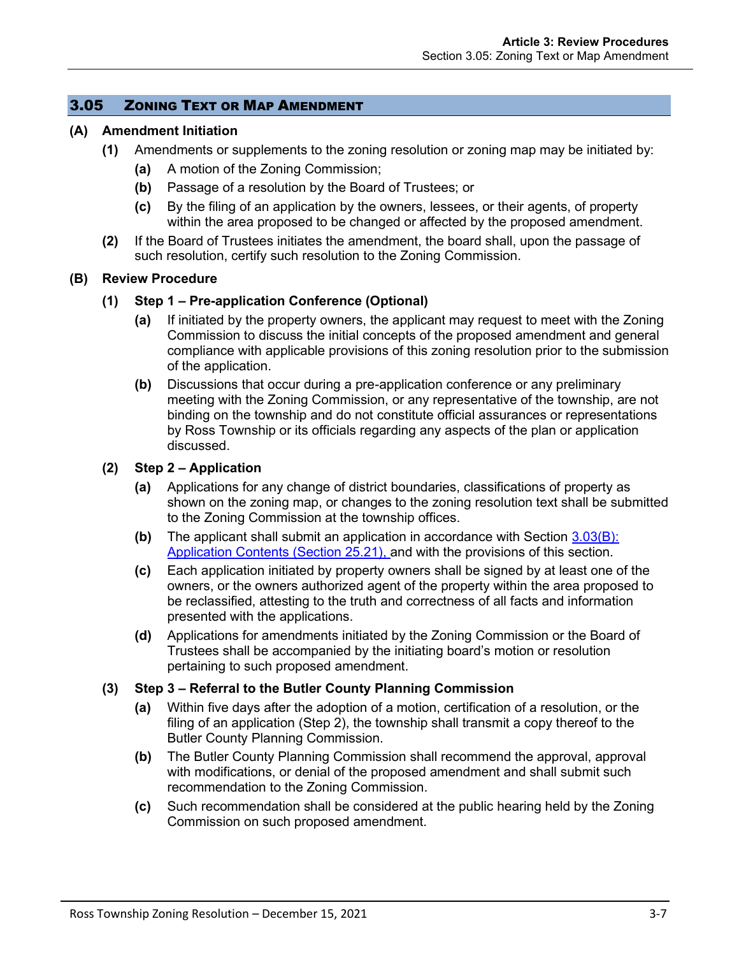#### 3.05 ZONING TEXT OR MAP AMENDMENT

#### **(A) Amendment Initiation**

- **(1)** Amendments or supplements to the zoning resolution or zoning map may be initiated by:
	- **(a)** A motion of the Zoning Commission;
	- **(b)** Passage of a resolution by the Board of Trustees; or
	- **(c)** By the filing of an application by the owners, lessees, or their agents, of property within the area proposed to be changed or affected by the proposed amendment.
- **(2)** If the Board of Trustees initiates the amendment, the board shall, upon the passage of such resolution, certify such resolution to the Zoning Commission.

#### **(B) Review Procedure**

#### **(1) Step 1 – Pre-application Conference (Optional)**

- **(a)** If initiated by the property owners, the applicant may request to meet with the Zoning Commission to discuss the initial concepts of the proposed amendment and general compliance with applicable provisions of this zoning resolution prior to the submission of the application.
- **(b)** Discussions that occur during a pre-application conference or any preliminary meeting with the Zoning Commission, or any representative of the township, are not binding on the township and do not constitute official assurances or representations by Ross Township or its officials regarding any aspects of the plan or application discussed.

#### **(2) Step 2 – Application**

- **(a)** Applications for any change of district boundaries, classifications of property as shown on the zoning map, or changes to the zoning resolution text shall be submitted to the Zoning Commission at the township offices.
- **(b)** The applicant shall submit an application in accordance with Section [3.03\(B\):](#page-1-0) [Application Contents](#page-1-0) (Section 25.21), and with the provisions of this section.
- **(c)** Each application initiated by property owners shall be signed by at least one of the owners, or the owners authorized agent of the property within the area proposed to be reclassified, attesting to the truth and correctness of all facts and information presented with the applications.
- **(d)** Applications for amendments initiated by the Zoning Commission or the Board of Trustees shall be accompanied by the initiating board's motion or resolution pertaining to such proposed amendment.

#### **(3) Step 3 – Referral to the Butler County Planning Commission**

- **(a)** Within five days after the adoption of a motion, certification of a resolution, or the filing of an application (Step 2), the township shall transmit a copy thereof to the Butler County Planning Commission.
- **(b)** The Butler County Planning Commission shall recommend the approval, approval with modifications, or denial of the proposed amendment and shall submit such recommendation to the Zoning Commission.
- **(c)** Such recommendation shall be considered at the public hearing held by the Zoning Commission on such proposed amendment.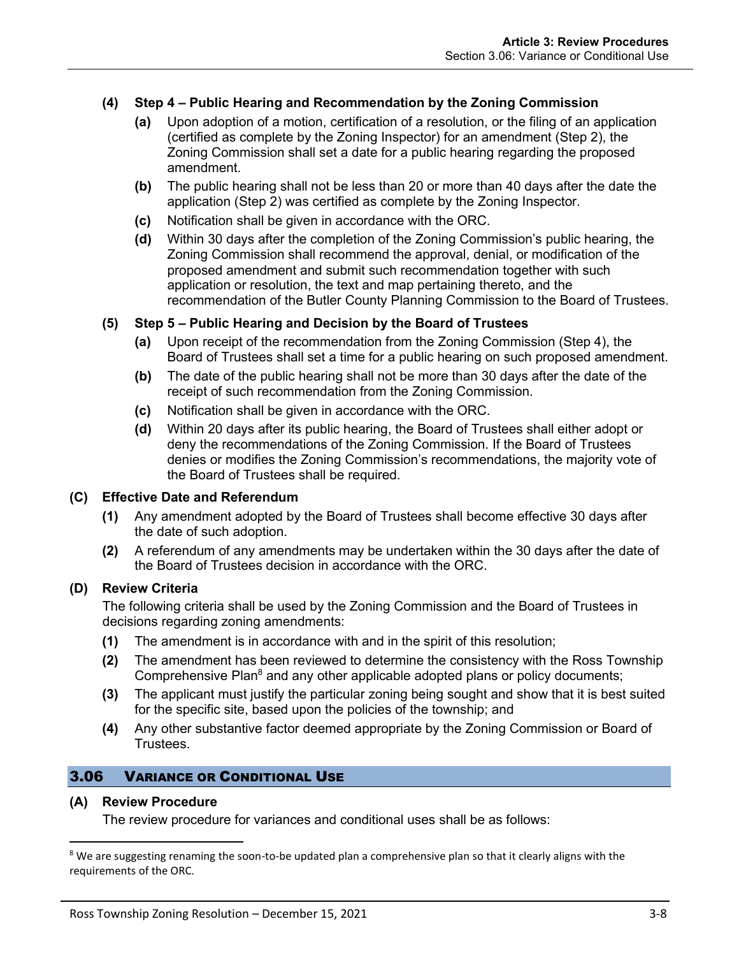## **(4) Step 4 – Public Hearing and Recommendation by the Zoning Commission**

- **(a)** Upon adoption of a motion, certification of a resolution, or the filing of an application (certified as complete by the Zoning Inspector) for an amendment (Step 2), the Zoning Commission shall set a date for a public hearing regarding the proposed amendment.
- **(b)** The public hearing shall not be less than 20 or more than 40 days after the date the application (Step 2) was certified as complete by the Zoning Inspector.
- **(c)** Notification shall be given in accordance with the ORC.
- **(d)** Within 30 days after the completion of the Zoning Commission's public hearing, the Zoning Commission shall recommend the approval, denial, or modification of the proposed amendment and submit such recommendation together with such application or resolution, the text and map pertaining thereto, and the recommendation of the Butler County Planning Commission to the Board of Trustees.

#### **(5) Step 5 – Public Hearing and Decision by the Board of Trustees**

- **(a)** Upon receipt of the recommendation from the Zoning Commission (Step 4), the Board of Trustees shall set a time for a public hearing on such proposed amendment.
- **(b)** The date of the public hearing shall not be more than 30 days after the date of the receipt of such recommendation from the Zoning Commission.
- **(c)** Notification shall be given in accordance with the ORC.
- **(d)** Within 20 days after its public hearing, the Board of Trustees shall either adopt or deny the recommendations of the Zoning Commission. If the Board of Trustees denies or modifies the Zoning Commission's recommendations, the majority vote of the Board of Trustees shall be required.

#### **(C) Effective Date and Referendum**

- **(1)** Any amendment adopted by the Board of Trustees shall become effective 30 days after the date of such adoption.
- **(2)** A referendum of any amendments may be undertaken within the 30 days after the date of the Board of Trustees decision in accordance with the ORC.

#### **(D) Review Criteria**

The following criteria shall be used by the Zoning Commission and the Board of Trustees in decisions regarding zoning amendments:

- **(1)** The amendment is in accordance with and in the spirit of this resolution;
- **(2)** The amendment has been reviewed to determine the consistency with the Ross Township Comprehensive Plan<sup>8</sup> and any other applicable adopted plans or policy documents;
- **(3)** The applicant must justify the particular zoning being sought and show that it is best suited for the specific site, based upon the policies of the township; and
- **(4)** Any other substantive factor deemed appropriate by the Zoning Commission or Board of Trustees.

## 3.06 VARIANCE OR CONDITIONAL USE

#### **(A) Review Procedure**

The review procedure for variances and conditional uses shall be as follows:

<sup>&</sup>lt;sup>8</sup> We are suggesting renaming the soon-to-be updated plan a comprehensive plan so that it clearly aligns with the requirements of the ORC.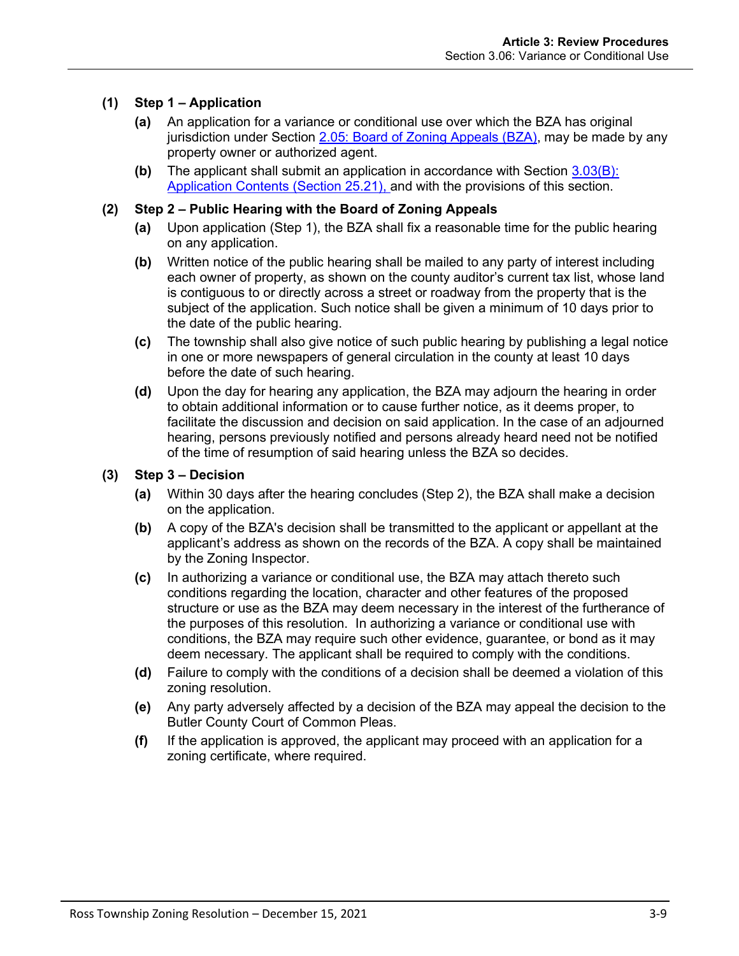## **(1) Step 1 – Application**

- **(a)** An application for a variance or conditional use over which the BZA has original jurisdiction under Section 2.05: Board of Zoning Appeals (BZA), may be made by any property owner or authorized agent.
- **(b)** The applicant shall submit an application in accordance with Section [3.03\(B\):](#page-1-0) [Application Contents](#page-1-0) (Section 25.21), and with the provisions of this section.

#### **(2) Step 2 – Public Hearing with the Board of Zoning Appeals**

- **(a)** Upon application (Step 1), the BZA shall fix a reasonable time for the public hearing on any application.
- **(b)** Written notice of the public hearing shall be mailed to any party of interest including each owner of property, as shown on the county auditor's current tax list, whose land is contiguous to or directly across a street or roadway from the property that is the subject of the application. Such notice shall be given a minimum of 10 days prior to the date of the public hearing.
- **(c)** The township shall also give notice of such public hearing by publishing a legal notice in one or more newspapers of general circulation in the county at least 10 days before the date of such hearing.
- **(d)** Upon the day for hearing any application, the BZA may adjourn the hearing in order to obtain additional information or to cause further notice, as it deems proper, to facilitate the discussion and decision on said application. In the case of an adjourned hearing, persons previously notified and persons already heard need not be notified of the time of resumption of said hearing unless the BZA so decides.

#### **(3) Step 3 – Decision**

- **(a)** Within 30 days after the hearing concludes (Step 2), the BZA shall make a decision on the application.
- **(b)** A copy of the BZA's decision shall be transmitted to the applicant or appellant at the applicant's address as shown on the records of the BZA. A copy shall be maintained by the Zoning Inspector.
- **(c)** In authorizing a variance or conditional use, the BZA may attach thereto such conditions regarding the location, character and other features of the proposed structure or use as the BZA may deem necessary in the interest of the furtherance of the purposes of this resolution. In authorizing a variance or conditional use with conditions, the BZA may require such other evidence, guarantee, or bond as it may deem necessary. The applicant shall be required to comply with the conditions.
- **(d)** Failure to comply with the conditions of a decision shall be deemed a violation of this zoning resolution.
- **(e)** Any party adversely affected by a decision of the BZA may appeal the decision to the Butler County Court of Common Pleas.
- **(f)** If the application is approved, the applicant may proceed with an application for a zoning certificate, where required.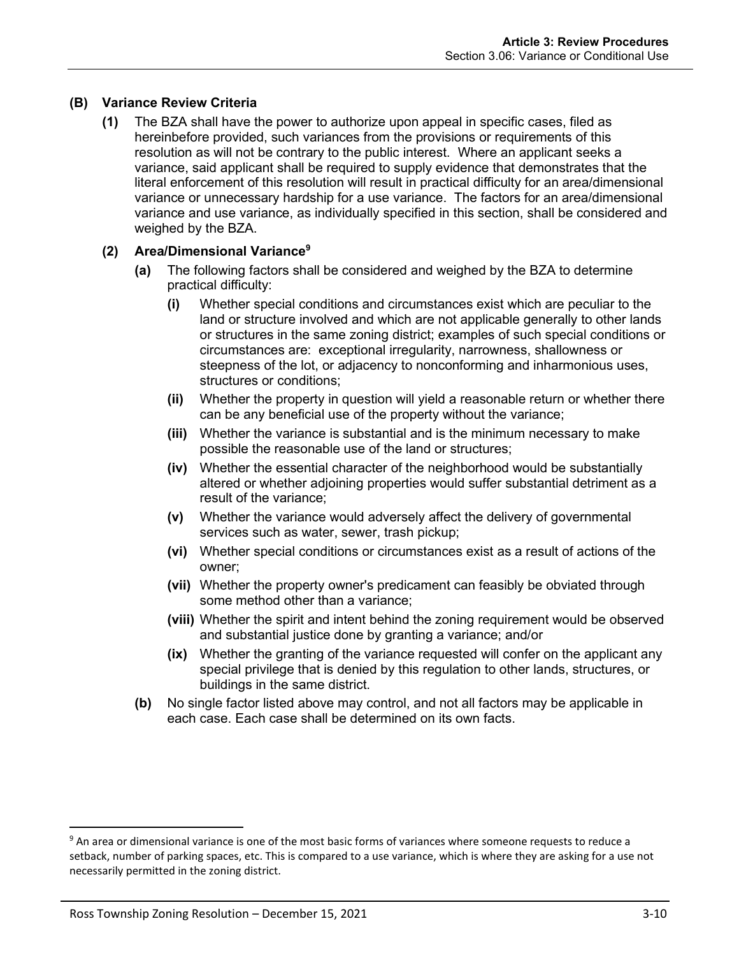## **(B) Variance Review Criteria**

**(1)** The BZA shall have the power to authorize upon appeal in specific cases, filed as hereinbefore provided, such variances from the provisions or requirements of this resolution as will not be contrary to the public interest. Where an applicant seeks a variance, said applicant shall be required to supply evidence that demonstrates that the literal enforcement of this resolution will result in practical difficulty for an area/dimensional variance or unnecessary hardship for a use variance. The factors for an area/dimensional variance and use variance, as individually specified in this section, shall be considered and weighed by the BZA.

#### **(2) Area/Dimensional Variance<sup>9</sup>**

- **(a)** The following factors shall be considered and weighed by the BZA to determine practical difficulty:
	- **(i)** Whether special conditions and circumstances exist which are peculiar to the land or structure involved and which are not applicable generally to other lands or structures in the same zoning district; examples of such special conditions or circumstances are: exceptional irregularity, narrowness, shallowness or steepness of the lot, or adjacency to nonconforming and inharmonious uses, structures or conditions;
	- **(ii)** Whether the property in question will yield a reasonable return or whether there can be any beneficial use of the property without the variance;
	- **(iii)** Whether the variance is substantial and is the minimum necessary to make possible the reasonable use of the land or structures;
	- **(iv)** Whether the essential character of the neighborhood would be substantially altered or whether adjoining properties would suffer substantial detriment as a result of the variance;
	- **(v)** Whether the variance would adversely affect the delivery of governmental services such as water, sewer, trash pickup;
	- **(vi)** Whether special conditions or circumstances exist as a result of actions of the owner;
	- **(vii)** Whether the property owner's predicament can feasibly be obviated through some method other than a variance;
	- **(viii)** Whether the spirit and intent behind the zoning requirement would be observed and substantial justice done by granting a variance; and/or
	- **(ix)** Whether the granting of the variance requested will confer on the applicant any special privilege that is denied by this regulation to other lands, structures, or buildings in the same district.
- **(b)** No single factor listed above may control, and not all factors may be applicable in each case. Each case shall be determined on its own facts.

<sup>&</sup>lt;sup>9</sup> An area or dimensional variance is one of the most basic forms of variances where someone requests to reduce a setback, number of parking spaces, etc. This is compared to a use variance, which is where they are asking for a use not necessarily permitted in the zoning district.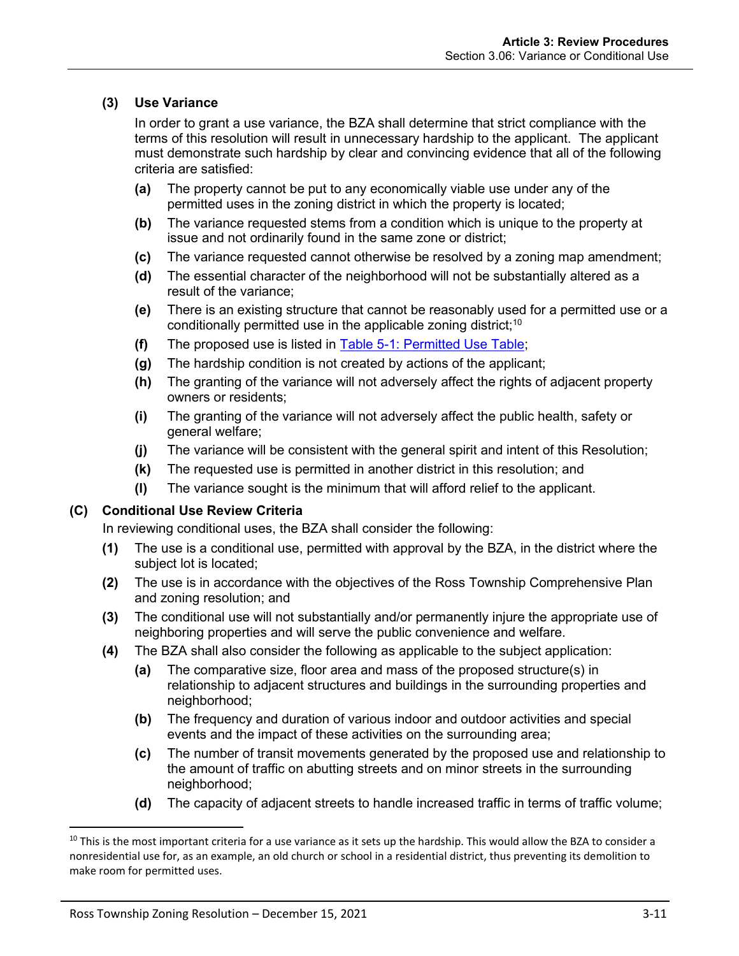# **(3) Use Variance**

In order to grant a use variance, the BZA shall determine that strict compliance with the terms of this resolution will result in unnecessary hardship to the applicant. The applicant must demonstrate such hardship by clear and convincing evidence that all of the following criteria are satisfied:

- **(a)** The property cannot be put to any economically viable use under any of the permitted uses in the zoning district in which the property is located;
- **(b)** The variance requested stems from a condition which is unique to the property at issue and not ordinarily found in the same zone or district;
- **(c)** The variance requested cannot otherwise be resolved by a zoning map amendment;
- **(d)** The essential character of the neighborhood will not be substantially altered as a result of the variance;
- **(e)** There is an existing structure that cannot be reasonably used for a permitted use or a conditionally permitted use in the applicable zoning district;<sup>10</sup>
- **(f)** The proposed use is listed in Table 5-1: Permitted Use Table;
- **(g)** The hardship condition is not created by actions of the applicant;
- **(h)** The granting of the variance will not adversely affect the rights of adjacent property owners or residents;
- **(i)** The granting of the variance will not adversely affect the public health, safety or general welfare;
- **(j)** The variance will be consistent with the general spirit and intent of this Resolution;
- **(k)** The requested use is permitted in another district in this resolution; and
- **(l)** The variance sought is the minimum that will afford relief to the applicant.

#### **(C) Conditional Use Review Criteria**

In reviewing conditional uses, the BZA shall consider the following:

- **(1)** The use is a conditional use, permitted with approval by the BZA, in the district where the subject lot is located;
- **(2)** The use is in accordance with the objectives of the Ross Township Comprehensive Plan and zoning resolution; and
- **(3)** The conditional use will not substantially and/or permanently injure the appropriate use of neighboring properties and will serve the public convenience and welfare.
- **(4)** The BZA shall also consider the following as applicable to the subject application:
	- **(a)** The comparative size, floor area and mass of the proposed structure(s) in relationship to adjacent structures and buildings in the surrounding properties and neighborhood;
	- **(b)** The frequency and duration of various indoor and outdoor activities and special events and the impact of these activities on the surrounding area;
	- **(c)** The number of transit movements generated by the proposed use and relationship to the amount of traffic on abutting streets and on minor streets in the surrounding neighborhood;
	- **(d)** The capacity of adjacent streets to handle increased traffic in terms of traffic volume;

 $10$  This is the most important criteria for a use variance as it sets up the hardship. This would allow the BZA to consider a nonresidential use for, as an example, an old church or school in a residential district, thus preventing its demolition to make room for permitted uses.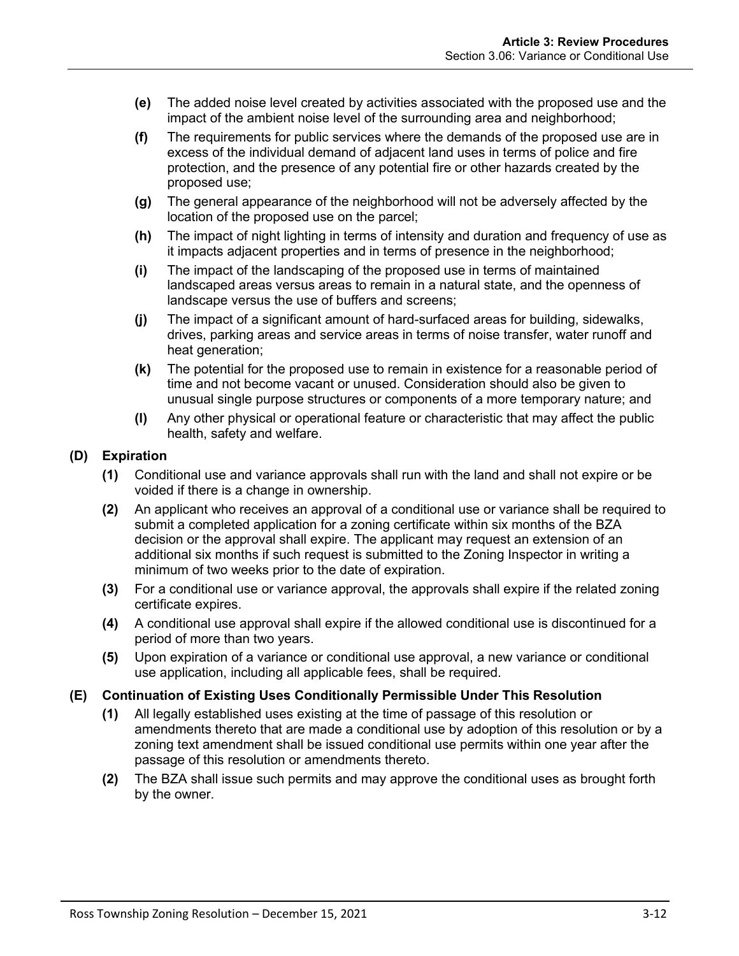- **(e)** The added noise level created by activities associated with the proposed use and the impact of the ambient noise level of the surrounding area and neighborhood;
- **(f)** The requirements for public services where the demands of the proposed use are in excess of the individual demand of adjacent land uses in terms of police and fire protection, and the presence of any potential fire or other hazards created by the proposed use;
- **(g)** The general appearance of the neighborhood will not be adversely affected by the location of the proposed use on the parcel;
- **(h)** The impact of night lighting in terms of intensity and duration and frequency of use as it impacts adjacent properties and in terms of presence in the neighborhood;
- **(i)** The impact of the landscaping of the proposed use in terms of maintained landscaped areas versus areas to remain in a natural state, and the openness of landscape versus the use of buffers and screens;
- **(j)** The impact of a significant amount of hard-surfaced areas for building, sidewalks, drives, parking areas and service areas in terms of noise transfer, water runoff and heat generation;
- **(k)** The potential for the proposed use to remain in existence for a reasonable period of time and not become vacant or unused. Consideration should also be given to unusual single purpose structures or components of a more temporary nature; and
- **(l)** Any other physical or operational feature or characteristic that may affect the public health, safety and welfare.

# **(D) Expiration**

- **(1)** Conditional use and variance approvals shall run with the land and shall not expire or be voided if there is a change in ownership.
- **(2)** An applicant who receives an approval of a conditional use or variance shall be required to submit a completed application for a zoning certificate within six months of the BZA decision or the approval shall expire. The applicant may request an extension of an additional six months if such request is submitted to the Zoning Inspector in writing a minimum of two weeks prior to the date of expiration.
- **(3)** For a conditional use or variance approval, the approvals shall expire if the related zoning certificate expires.
- **(4)** A conditional use approval shall expire if the allowed conditional use is discontinued for a period of more than two years.
- **(5)** Upon expiration of a variance or conditional use approval, a new variance or conditional use application, including all applicable fees, shall be required.

#### **(E) Continuation of Existing Uses Conditionally Permissible Under This Resolution**

- **(1)** All legally established uses existing at the time of passage of this resolution or amendments thereto that are made a conditional use by adoption of this resolution or by a zoning text amendment shall be issued conditional use permits within one year after the passage of this resolution or amendments thereto.
- **(2)** The BZA shall issue such permits and may approve the conditional uses as brought forth by the owner.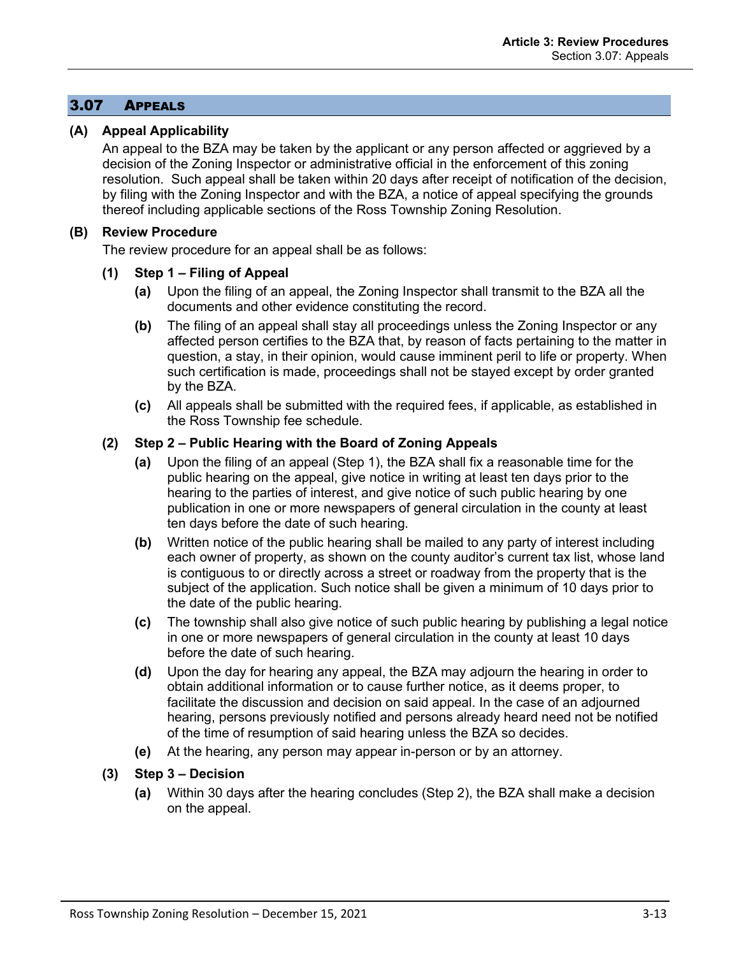# <span id="page-12-0"></span>3.07 APPEALS

## **(A) Appeal Applicability**

An appeal to the BZA may be taken by the applicant or any person affected or aggrieved by a decision of the Zoning Inspector or administrative official in the enforcement of this zoning resolution. Such appeal shall be taken within 20 days after receipt of notification of the decision, by filing with the Zoning Inspector and with the BZA, a notice of appeal specifying the grounds thereof including applicable sections of the Ross Township Zoning Resolution.

## **(B) Review Procedure**

The review procedure for an appeal shall be as follows:

#### **(1) Step 1 – Filing of Appeal**

- **(a)** Upon the filing of an appeal, the Zoning Inspector shall transmit to the BZA all the documents and other evidence constituting the record.
- **(b)** The filing of an appeal shall stay all proceedings unless the Zoning Inspector or any affected person certifies to the BZA that, by reason of facts pertaining to the matter in question, a stay, in their opinion, would cause imminent peril to life or property. When such certification is made, proceedings shall not be stayed except by order granted by the BZA.
- **(c)** All appeals shall be submitted with the required fees, if applicable, as established in the Ross Township fee schedule.

## **(2) Step 2 – Public Hearing with the Board of Zoning Appeals**

- **(a)** Upon the filing of an appeal (Step 1), the BZA shall fix a reasonable time for the public hearing on the appeal, give notice in writing at least ten days prior to the hearing to the parties of interest, and give notice of such public hearing by one publication in one or more newspapers of general circulation in the county at least ten days before the date of such hearing.
- **(b)** Written notice of the public hearing shall be mailed to any party of interest including each owner of property, as shown on the county auditor's current tax list, whose land is contiguous to or directly across a street or roadway from the property that is the subject of the application. Such notice shall be given a minimum of 10 days prior to the date of the public hearing.
- **(c)** The township shall also give notice of such public hearing by publishing a legal notice in one or more newspapers of general circulation in the county at least 10 days before the date of such hearing.
- **(d)** Upon the day for hearing any appeal, the BZA may adjourn the hearing in order to obtain additional information or to cause further notice, as it deems proper, to facilitate the discussion and decision on said appeal. In the case of an adjourned hearing, persons previously notified and persons already heard need not be notified of the time of resumption of said hearing unless the BZA so decides.
- **(e)** At the hearing, any person may appear in-person or by an attorney.
- **(3) Step 3 – Decision**
	- **(a)** Within 30 days after the hearing concludes (Step 2), the BZA shall make a decision on the appeal.